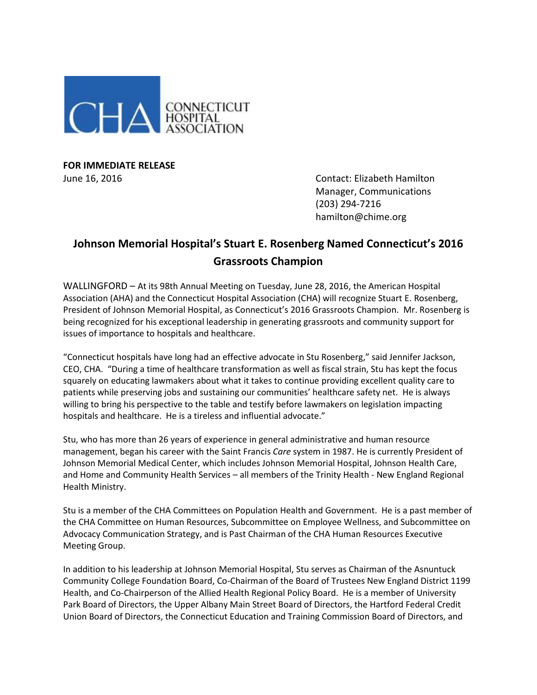

**FOR IMMEDIATE RELEASE**

June 16, 2016 Contact: Elizabeth Hamilton Manager, Communications (203) 294-7216 hamilton@chime.org

## **Johnson Memorial Hospital's Stuart E. Rosenberg Named Connecticut's 2016 Grassroots Champion**

WALLINGFORD – At its 98th Annual Meeting on Tuesday, June 28, 2016, the American Hospital Association (AHA) and the Connecticut Hospital Association (CHA) will recognize Stuart E. Rosenberg, President of Johnson Memorial Hospital, as Connecticut's 2016 Grassroots Champion. Mr. Rosenberg is being recognized for his exceptional leadership in generating grassroots and community support for issues of importance to hospitals and healthcare.

"Connecticut hospitals have long had an effective advocate in Stu Rosenberg," said Jennifer Jackson, CEO, CHA. "During a time of healthcare transformation as well as fiscal strain, Stu has kept the focus squarely on educating lawmakers about what it takes to continue providing excellent quality care to patients while preserving jobs and sustaining our communities' healthcare safety net. He is always willing to bring his perspective to the table and testify before lawmakers on legislation impacting hospitals and healthcare. He is a tireless and influential advocate."

Stu, who has more than 26 years of experience in general administrative and human resource management, began his career with the Saint Francis *Care* system in 1987. He is currently President of Johnson Memorial Medical Center, which includes Johnson Memorial Hospital, Johnson Health Care, and Home and Community Health Services – all members of the Trinity Health - New England Regional Health Ministry.

Stu is a member of the CHA Committees on Population Health and Government. He is a past member of the CHA Committee on Human Resources, Subcommittee on Employee Wellness, and Subcommittee on Advocacy Communication Strategy, and is Past Chairman of the CHA Human Resources Executive Meeting Group.

In addition to his leadership at Johnson Memorial Hospital, Stu serves as Chairman of the Asnuntuck Community College Foundation Board, Co-Chairman of the Board of Trustees New England District 1199 Health, and Co-Chairperson of the Allied Health Regional Policy Board. He is a member of University Park Board of Directors, the Upper Albany Main Street Board of Directors, the Hartford Federal Credit Union Board of Directors, the Connecticut Education and Training Commission Board of Directors, and